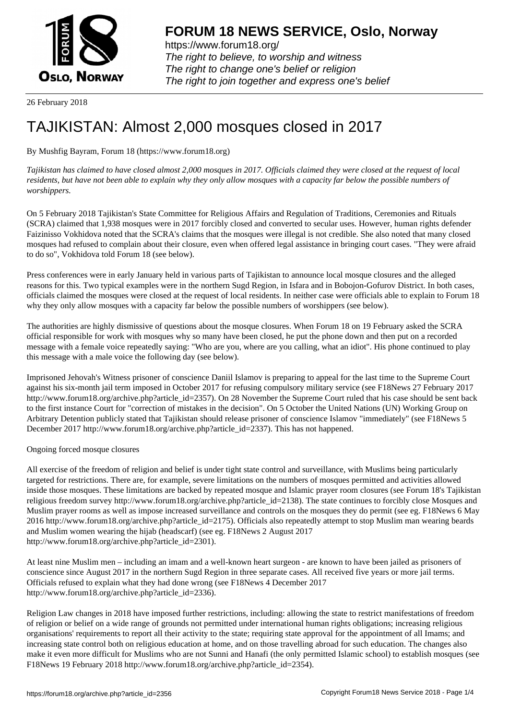

https://www.forum18.org/ The right to believe, to worship and witness The right to change one's belief or religion [The right to join together a](https://www.forum18.org/)nd express one's belief

26 February 2018

## [TAJIKISTAN: A](https://www.forum18.org)lmost 2,000 mosques closed in 2017

By Mushfig Bayram, Forum 18 (https://www.forum18.org)

*Tajikistan has claimed to have closed almost 2,000 mosques in 2017. Officials claimed they were closed at the request of local residents, but have not been able to explain why they only allow mosques with a capacity far below the possible numbers of worshippers.*

On 5 February 2018 Tajikistan's State Committee for Religious Affairs and Regulation of Traditions, Ceremonies and Rituals (SCRA) claimed that 1,938 mosques were in 2017 forcibly closed and converted to secular uses. However, human rights defender Faizinisso Vokhidova noted that the SCRA's claims that the mosques were illegal is not credible. She also noted that many closed mosques had refused to complain about their closure, even when offered legal assistance in bringing court cases. "They were afraid to do so", Vokhidova told Forum 18 (see below).

Press conferences were in early January held in various parts of Tajikistan to announce local mosque closures and the alleged reasons for this. Two typical examples were in the northern Sugd Region, in Isfara and in Bobojon-Gofurov District. In both cases, officials claimed the mosques were closed at the request of local residents. In neither case were officials able to explain to Forum 18 why they only allow mosques with a capacity far below the possible numbers of worshippers (see below).

The authorities are highly dismissive of questions about the mosque closures. When Forum 18 on 19 February asked the SCRA official responsible for work with mosques why so many have been closed, he put the phone down and then put on a recorded message with a female voice repeatedly saying: "Who are you, where are you calling, what an idiot". His phone continued to play this message with a male voice the following day (see below).

Imprisoned Jehovah's Witness prisoner of conscience Daniil Islamov is preparing to appeal for the last time to the Supreme Court against his six-month jail term imposed in October 2017 for refusing compulsory military service (see F18News 27 February 2017 http://www.forum18.org/archive.php?article\_id=2357). On 28 November the Supreme Court ruled that his case should be sent back to the first instance Court for "correction of mistakes in the decision". On 5 October the United Nations (UN) Working Group on Arbitrary Detention publicly stated that Tajikistan should release prisoner of conscience Islamov "immediately" (see F18News 5 December 2017 http://www.forum18.org/archive.php?article\_id=2337). This has not happened.

Ongoing forced mosque closures

All exercise of the freedom of religion and belief is under tight state control and surveillance, with Muslims being particularly targeted for restrictions. There are, for example, severe limitations on the numbers of mosques permitted and activities allowed inside those mosques. These limitations are backed by repeated mosque and Islamic prayer room closures (see Forum 18's Tajikistan religious freedom survey http://www.forum18.org/archive.php?article\_id=2138). The state continues to forcibly close Mosques and Muslim prayer rooms as well as impose increased surveillance and controls on the mosques they do permit (see eg. F18News 6 May 2016 http://www.forum18.org/archive.php?article\_id=2175). Officials also repeatedly attempt to stop Muslim man wearing beards and Muslim women wearing the hijab (headscarf) (see eg. F18News 2 August 2017 http://www.forum18.org/archive.php?article\_id=2301).

At least nine Muslim men – including an imam and a well-known heart surgeon - are known to have been jailed as prisoners of conscience since August 2017 in the northern Sugd Region in three separate cases. All received five years or more jail terms. Officials refused to explain what they had done wrong (see F18News 4 December 2017 http://www.forum18.org/archive.php?article\_id=2336).

Religion Law changes in 2018 have imposed further restrictions, including: allowing the state to restrict manifestations of freedom of religion or belief on a wide range of grounds not permitted under international human rights obligations; increasing religious organisations' requirements to report all their activity to the state; requiring state approval for the appointment of all Imams; and increasing state control both on religious education at home, and on those travelling abroad for such education. The changes also make it even more difficult for Muslims who are not Sunni and Hanafi (the only permitted Islamic school) to establish mosques (see F18News 19 February 2018 http://www.forum18.org/archive.php?article\_id=2354).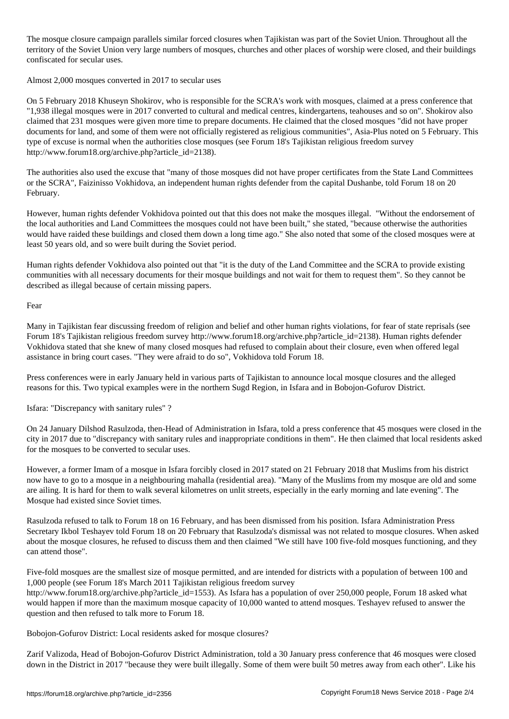The mosque closure campaign parallels similar forced closures when Tajikistan was part of the Soviet Union. Throughout all the territory of the Soviet Union very large numbers of mosques, churches and other places of worship were closed, and their buildings confiscated for secular uses.

Almost 2,000 mosques converted in 2017 to secular uses

On 5 February 2018 Khuseyn Shokirov, who is responsible for the SCRA's work with mosques, claimed at a press conference that "1,938 illegal mosques were in 2017 converted to cultural and medical centres, kindergartens, teahouses and so on". Shokirov also claimed that 231 mosques were given more time to prepare documents. He claimed that the closed mosques "did not have proper documents for land, and some of them were not officially registered as religious communities", Asia-Plus noted on 5 February. This type of excuse is normal when the authorities close mosques (see Forum 18's Tajikistan religious freedom survey http://www.forum18.org/archive.php?article\_id=2138).

The authorities also used the excuse that "many of those mosques did not have proper certificates from the State Land Committees or the SCRA", Faizinisso Vokhidova, an independent human rights defender from the capital Dushanbe, told Forum 18 on 20 February.

However, human rights defender Vokhidova pointed out that this does not make the mosques illegal. "Without the endorsement of the local authorities and Land Committees the mosques could not have been built," she stated, "because otherwise the authorities would have raided these buildings and closed them down a long time ago." She also noted that some of the closed mosques were at least 50 years old, and so were built during the Soviet period.

Human rights defender Vokhidova also pointed out that "it is the duty of the Land Committee and the SCRA to provide existing communities with all necessary documents for their mosque buildings and not wait for them to request them". So they cannot be described as illegal because of certain missing papers.

Fear

Many in Tajikistan fear discussing freedom of religion and belief and other human rights violations, for fear of state reprisals (see Forum 18's Tajikistan religious freedom survey http://www.forum18.org/archive.php?article\_id=2138). Human rights defender Vokhidova stated that she knew of many closed mosques had refused to complain about their closure, even when offered legal assistance in bring court cases. "They were afraid to do so", Vokhidova told Forum 18.

Press conferences were in early January held in various parts of Tajikistan to announce local mosque closures and the alleged reasons for this. Two typical examples were in the northern Sugd Region, in Isfara and in Bobojon-Gofurov District.

Isfara: "Discrepancy with sanitary rules" ?

On 24 January Dilshod Rasulzoda, then-Head of Administration in Isfara, told a press conference that 45 mosques were closed in the city in 2017 due to "discrepancy with sanitary rules and inappropriate conditions in them". He then claimed that local residents asked for the mosques to be converted to secular uses.

However, a former Imam of a mosque in Isfara forcibly closed in 2017 stated on 21 February 2018 that Muslims from his district now have to go to a mosque in a neighbouring mahalla (residential area). "Many of the Muslims from my mosque are old and some are ailing. It is hard for them to walk several kilometres on unlit streets, especially in the early morning and late evening". The Mosque had existed since Soviet times.

Rasulzoda refused to talk to Forum 18 on 16 February, and has been dismissed from his position. Isfara Administration Press Secretary Ikbol Teshayev told Forum 18 on 20 February that Rasulzoda's dismissal was not related to mosque closures. When asked about the mosque closures, he refused to discuss them and then claimed "We still have 100 five-fold mosques functioning, and they can attend those".

Five-fold mosques are the smallest size of mosque permitted, and are intended for districts with a population of between 100 and 1,000 people (see Forum 18's March 2011 Tajikistan religious freedom survey

http://www.forum18.org/archive.php?article\_id=1553). As Isfara has a population of over 250,000 people, Forum 18 asked what would happen if more than the maximum mosque capacity of 10,000 wanted to attend mosques. Teshayev refused to answer the question and then refused to talk more to Forum 18.

Bobojon-Gofurov District: Local residents asked for mosque closures?

Zarif Valizoda, Head of Bobojon-Gofurov District Administration, told a 30 January press conference that 46 mosques were closed down in the District in 2017 "because they were built illegally. Some of them were built 50 metres away from each other". Like his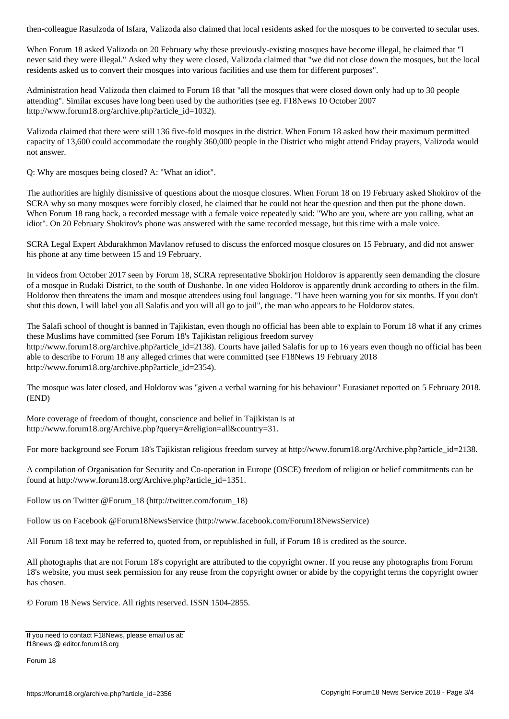When Forum 18 asked Valizoda on 20 February why these previously-existing mosques have become illegal, he claimed that "I never said they were illegal." Asked why they were closed, Valizoda claimed that "we did not close down the mosques, but the local residents asked us to convert their mosques into various facilities and use them for different purposes".

Administration head Valizoda then claimed to Forum 18 that "all the mosques that were closed down only had up to 30 people attending". Similar excuses have long been used by the authorities (see eg. F18News 10 October 2007 http://www.forum18.org/archive.php?article\_id=1032).

Valizoda claimed that there were still 136 five-fold mosques in the district. When Forum 18 asked how their maximum permitted capacity of 13,600 could accommodate the roughly 360,000 people in the District who might attend Friday prayers, Valizoda would not answer.

Q: Why are mosques being closed? A: "What an idiot".

The authorities are highly dismissive of questions about the mosque closures. When Forum 18 on 19 February asked Shokirov of the SCRA why so many mosques were forcibly closed, he claimed that he could not hear the question and then put the phone down. When Forum 18 rang back, a recorded message with a female voice repeatedly said: "Who are you, where are you calling, what an idiot". On 20 February Shokirov's phone was answered with the same recorded message, but this time with a male voice.

SCRA Legal Expert Abdurakhmon Mavlanov refused to discuss the enforced mosque closures on 15 February, and did not answer his phone at any time between 15 and 19 February.

In videos from October 2017 seen by Forum 18, SCRA representative Shokirjon Holdorov is apparently seen demanding the closure of a mosque in Rudaki District, to the south of Dushanbe. In one video Holdorov is apparently drunk according to others in the film. Holdorov then threatens the imam and mosque attendees using foul language. "I have been warning you for six months. If you don't shut this down, I will label you all Salafis and you will all go to jail", the man who appears to be Holdorov states.

The Salafi school of thought is banned in Tajikistan, even though no official has been able to explain to Forum 18 what if any crimes these Muslims have committed (see Forum 18's Tajikistan religious freedom survey http://www.forum18.org/archive.php?article\_id=2138). Courts have jailed Salafis for up to 16 years even though no official has been able to describe to Forum 18 any alleged crimes that were committed (see F18News 19 February 2018 http://www.forum18.org/archive.php?article\_id=2354).

The mosque was later closed, and Holdorov was "given a verbal warning for his behaviour" Eurasianet reported on 5 February 2018. (END)

More coverage of freedom of thought, conscience and belief in Tajikistan is at http://www.forum18.org/Archive.php?query=&religion=all&country=31.

For more background see Forum 18's Tajikistan religious freedom survey at http://www.forum18.org/Archive.php?article\_id=2138.

A compilation of Organisation for Security and Co-operation in Europe (OSCE) freedom of religion or belief commitments can be found at http://www.forum18.org/Archive.php?article\_id=1351.

Follow us on Twitter @Forum\_18 (http://twitter.com/forum\_18)

Follow us on Facebook @Forum18NewsService (http://www.facebook.com/Forum18NewsService)

All Forum 18 text may be referred to, quoted from, or republished in full, if Forum 18 is credited as the source.

All photographs that are not Forum 18's copyright are attributed to the copyright owner. If you reuse any photographs from Forum 18's website, you must seek permission for any reuse from the copyright owner or abide by the copyright terms the copyright owner has chosen.

© Forum 18 News Service. All rights reserved. ISSN 1504-2855.

If you need to contact F18News, please email us at: f18news @ editor.forum18.org

Forum 18